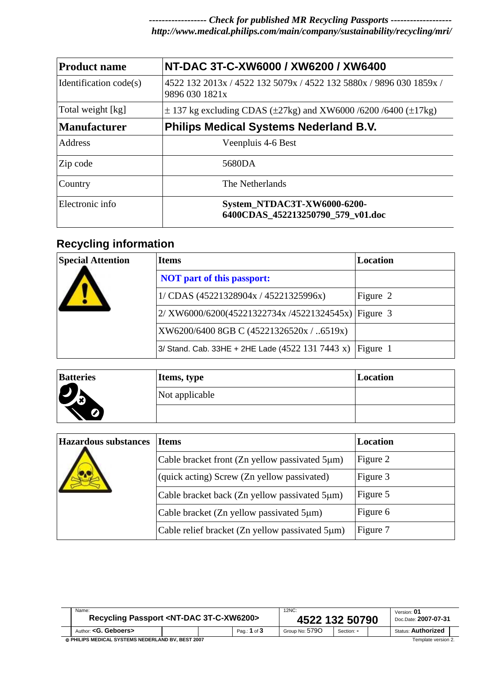*------------------ Check for published MR Recycling Passports ------------------ http://www.medical.philips.com/main/company/sustainability/recycling/mri/* 

| <b>Product name</b>    | NT-DAC 3T-C-XW6000 / XW6200 / XW6400                                                  |
|------------------------|---------------------------------------------------------------------------------------|
| Identification code(s) | 4522 132 2013x / 4522 132 5079x / 4522 132 5880x / 9896 030 1859x /<br>9896 030 1821x |
| Total weight [kg]      | $\pm$ 137 kg excluding CDAS ( $\pm$ 27kg) and XW6000 /6200 /6400 ( $\pm$ 17kg)        |
| Manufacturer           | <b>Philips Medical Systems Nederland B.V.</b>                                         |
| Address                | Veenpluis 4-6 Best                                                                    |
| Zip code               | 5680DA                                                                                |
| Country                | The Netherlands                                                                       |
| Electronic info        | System_NTDAC3T-XW6000-6200-<br>6400CDAS 452213250790 579 v01.doc                      |

## **Recycling information**

| <b>Special Attention</b> | <b>Items</b>                                         | Location |  |  |
|--------------------------|------------------------------------------------------|----------|--|--|
|                          | <b>NOT</b> part of this passport:                    |          |  |  |
|                          | 1/ CDAS (45221328904x / 45221325996x)                | Figure 2 |  |  |
|                          | $2/$ XW6000/6200(45221322734x/45221324545x) Figure 3 |          |  |  |
|                          | XW6200/6400 8GB C (45221326520x / 6519x)             |          |  |  |
|                          | 3/ Stand. Cab. 33HE + 2HE Lade $(4522 131 7443 x)$   | Figure 1 |  |  |

| <b>Batteries</b>      | Items, type    | Location |
|-----------------------|----------------|----------|
| $\boldsymbol{b}$<br>↩ | Not applicable |          |
| Ø                     |                |          |

| <b>Hazardous substances</b> | <b>Items</b>                                    | Location |  |  |
|-----------------------------|-------------------------------------------------|----------|--|--|
|                             | Cable bracket front (Zn yellow passivated 5µm)  | Figure 2 |  |  |
|                             | (quick acting) Screw (Zn yellow passivated)     | Figure 3 |  |  |
|                             | Cable bracket back (Zn yellow passivated 5µm)   | Figure 5 |  |  |
|                             | Cable bracket (Zn yellow passivated 5µm)        | Figure 6 |  |  |
|                             | Cable relief bracket (Zn yellow passivated 5µm) | Figure 7 |  |  |

|                                                   | Name:<br>Recycling Passport <nt-dac 3t-c-xw6200=""></nt-dac> |  |  |                  | 12NC:<br>4522 132 50790 |            |                     | Version: 01<br>Doc.Date: 2007-07-31 |  |
|---------------------------------------------------|--------------------------------------------------------------|--|--|------------------|-------------------------|------------|---------------------|-------------------------------------|--|
|                                                   | Author: <g. geboers=""></g.>                                 |  |  | Pag.: $1$ of $3$ | Group No: 5790          | Section: - |                     | <b>Status: Authorized</b>           |  |
| © PHILIPS MEDICAL SYSTEMS NEDERLAND BV. BEST 2007 |                                                              |  |  |                  |                         |            | Template version 2. |                                     |  |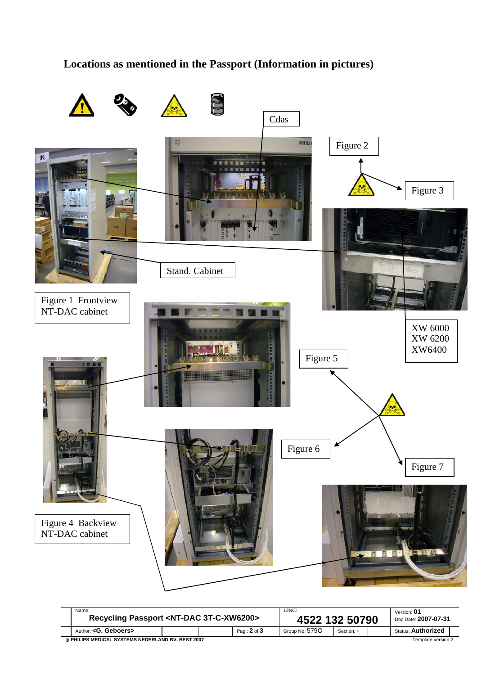## **Locations as mentioned in the Passport (Information in pictures)**



| Name:<br>Recycling Passport <nt-dac 3t-c-xw6200=""></nt-dac>             |  |  | 12NC:<br>4522 132 50790 |                |            | Version: 01<br>Doc.Date: 2007-07-31 |                           |  |
|--------------------------------------------------------------------------|--|--|-------------------------|----------------|------------|-------------------------------------|---------------------------|--|
| Author: <g. geboers=""></g.>                                             |  |  | Pag.: 2 of 3            | Group No: 5790 | Section: - |                                     | <b>Status: Authorized</b> |  |
| © PHILIPS MEDICAL SYSTEMS NEDERLAND BV. BEST 2007<br>Template version 2. |  |  |                         |                |            |                                     |                           |  |